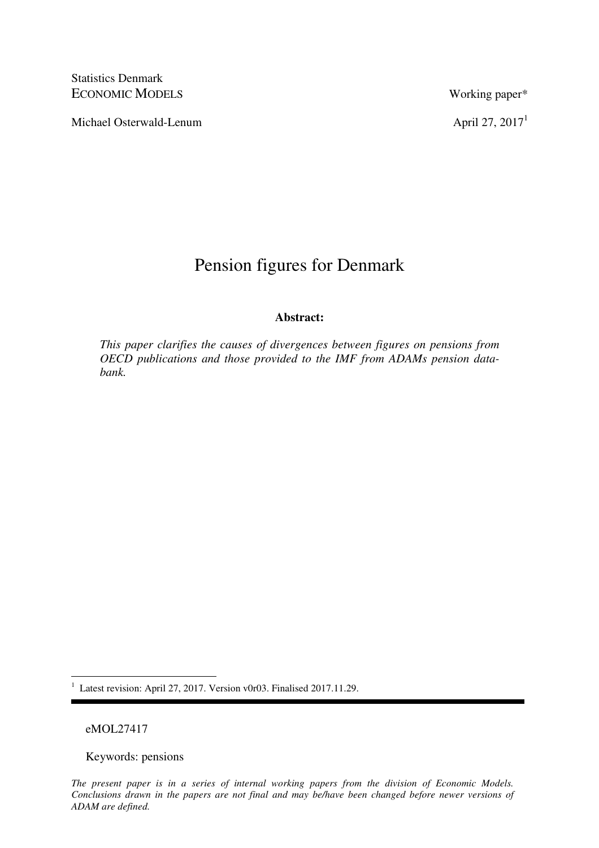Statistics Denmark ECONOMIC MODELS Working paper\*

Michael Osterwald-Lenum April 27, 2017<sup>1</sup>

# Pension figures for Denmark

# **Abstract:**

*This paper clarifies the causes of divergences between figures on pensions from OECD publications and those provided to the IMF from ADAMs pension databank.* 

Latest revision: April 27, 2017. Version v0r03. Finalised 2017.11.29.

#### eMOL27417

 $\overline{a}$ 1

Keywords: pensions

*The present paper is in a series of internal working papers from the division of Economic Models. Conclusions drawn in the papers are not final and may be/have been changed before newer versions of ADAM are defined.*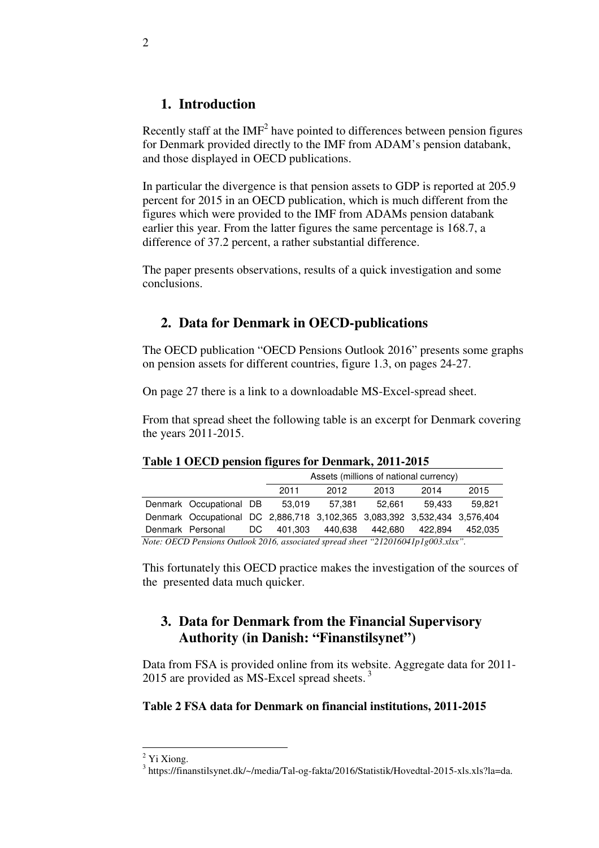# **1. Introduction**

Recently staff at the  $IMF<sup>2</sup>$  have pointed to differences between pension figures for Denmark provided directly to the IMF from ADAM's pension databank, and those displayed in OECD publications.

In particular the divergence is that pension assets to GDP is reported at 205.9 percent for 2015 in an OECD publication, which is much different from the figures which were provided to the IMF from ADAMs pension databank earlier this year. From the latter figures the same percentage is 168.7, a difference of 37.2 percent, a rather substantial difference.

The paper presents observations, results of a quick investigation and some conclusions.

# **2. Data for Denmark in OECD-publications**

The OECD publication "OECD Pensions Outlook 2016" presents some graphs on pension assets for different countries, figure 1.3, on pages 24-27.

On page 27 there is a link to a downloadable MS-Excel-spread sheet.

From that spread sheet the following table is an excerpt for Denmark covering the years 2011-2015.

|  | Table 1 OECD pension figures for Denmark, 2011-2015 |  |  |  |  |  |
|--|-----------------------------------------------------|--|--|--|--|--|
|--|-----------------------------------------------------|--|--|--|--|--|

|                                                                                   |                                                                           |     | Assets (millions of national currency) |         |         |         |         |
|-----------------------------------------------------------------------------------|---------------------------------------------------------------------------|-----|----------------------------------------|---------|---------|---------|---------|
|                                                                                   |                                                                           |     | 2011                                   | 2012    | 2013    | 2014    | 2015    |
|                                                                                   | Denmark Occupational DB                                                   |     | 53.019                                 | 57.381  | 52.661  | 59.433  | 59.821  |
|                                                                                   | Denmark Occupational DC 2,886,718 3,102,365 3,083,392 3,532,434 3,576,404 |     |                                        |         |         |         |         |
|                                                                                   | Denmark Personal                                                          | DC. | 401.303                                | 440.638 | 442.680 | 422.894 | 452,035 |
| Note: OECD Pensions Outlook 2016, associated spread sheet "212016041p1g003.xlsx". |                                                                           |     |                                        |         |         |         |         |

This fortunately this OECD practice makes the investigation of the sources of the presented data much quicker.

# **3. Data for Denmark from the Financial Supervisory Authority (in Danish: "Finanstilsynet")**

Data from FSA is provided online from its website. Aggregate data for 2011- 2015 are provided as MS-Excel spread sheets. $3$ 

#### **Table 2 FSA data for Denmark on financial institutions, 2011-2015**

<sup>&</sup>lt;sup>2</sup> Yi Xiong.

<sup>&</sup>lt;sup>3</sup> https://finanstilsynet.dk/~/media/Tal-og-fakta/2016/Statistik/Hovedtal-2015-xls.xls?la=da.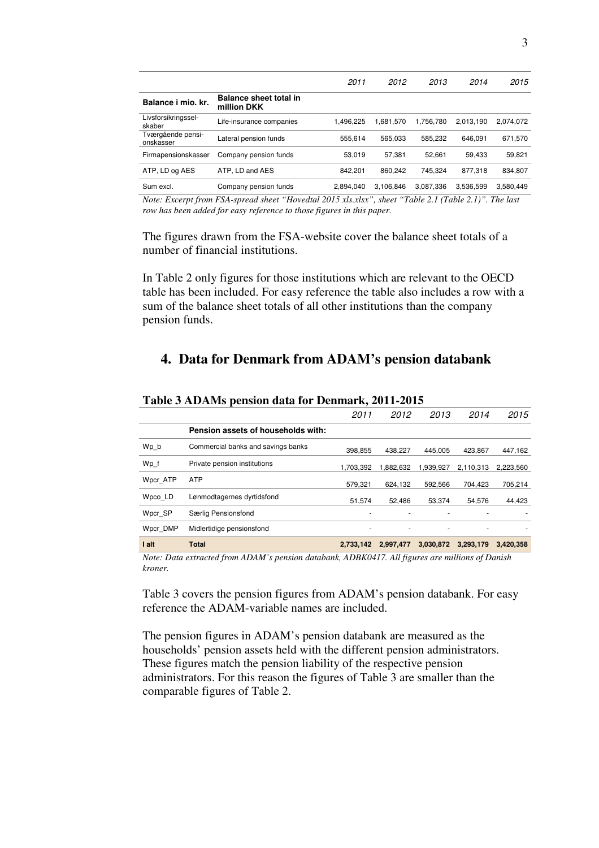|                                |                                       | 2011      | 2012      | 2013      | 2014      | 2015      |
|--------------------------------|---------------------------------------|-----------|-----------|-----------|-----------|-----------|
| Balance i mio. kr.             | Balance sheet total in<br>million DKK |           |           |           |           |           |
| Livsforsikringssel-<br>skaber  | Life-insurance companies              | 1.496.225 | 1.681.570 | 1.756.780 | 2.013.190 | 2.074.072 |
| Tværgående pensi-<br>onskasser | Lateral pension funds                 | 555.614   | 565.033   | 585.232   | 646.091   | 671.570   |
| Firmapensionskasser            | Company pension funds                 | 53.019    | 57.381    | 52.661    | 59.433    | 59.821    |
| ATP, LD og AES                 | ATP. LD and AES                       | 842.201   | 860.242   | 745.324   | 877.318   | 834,807   |
| Sum excl.                      | Company pension funds                 | 2.894.040 | 3.106.846 | 3.087.336 | 3.536.599 | 3.580.449 |

*Note: Excerpt from FSA-spread sheet "Hovedtal 2015 xls.xlsx", sheet "Table 2.1 (Table 2.1)". The last row has been added for easy reference to those figures in this paper.* 

The figures drawn from the FSA-website cover the balance sheet totals of a number of financial institutions.

In Table 2 only figures for those institutions which are relevant to the OECD table has been included. For easy reference the table also includes a row with a sum of the balance sheet totals of all other institutions than the company pension funds.

#### **4. Data for Denmark from ADAM's pension databank**

|          |                                    | 2011      | 2012      | 2013      | 2014      | 2015      |
|----------|------------------------------------|-----------|-----------|-----------|-----------|-----------|
|          | Pension assets of households with: |           |           |           |           |           |
| Wp_b     | Commercial banks and savings banks | 398.855   | 438.227   | 445.005   | 423.867   | 447,162   |
| Wp f     | Private pension institutions       | 1.703.392 | 1.882.632 | 1,939,927 | 2.110.313 | 2,223,560 |
| Wpcr ATP | <b>ATP</b>                         | 579,321   | 624.132   | 592,566   | 704.423   | 705,214   |
| Wpco LD  | Lønmodtagernes dyrtidsfond         | 51,574    | 52,486    | 53,374    | 54,576    | 44,423    |
| Wpcr SP  | Særlig Pensionsfond                |           | ٠         |           |           |           |
| Wpcr DMP | Midlertidige pensionsfond          |           | ٠         | ٠         |           |           |
| I alt    | <b>Total</b>                       | 2.733.142 | 2.997.477 | 3,030,872 | 3.293.179 | 3.420.358 |

#### **Table 3 ADAMs pension data for Denmark, 2011-2015**

*Note: Data extracted from ADAM's pension databank, ADBK0417. All figures are millions of Danish kroner.* 

Table 3 covers the pension figures from ADAM's pension databank. For easy reference the ADAM-variable names are included.

The pension figures in ADAM's pension databank are measured as the households' pension assets held with the different pension administrators. These figures match the pension liability of the respective pension administrators. For this reason the figures of Table 3 are smaller than the comparable figures of Table 2.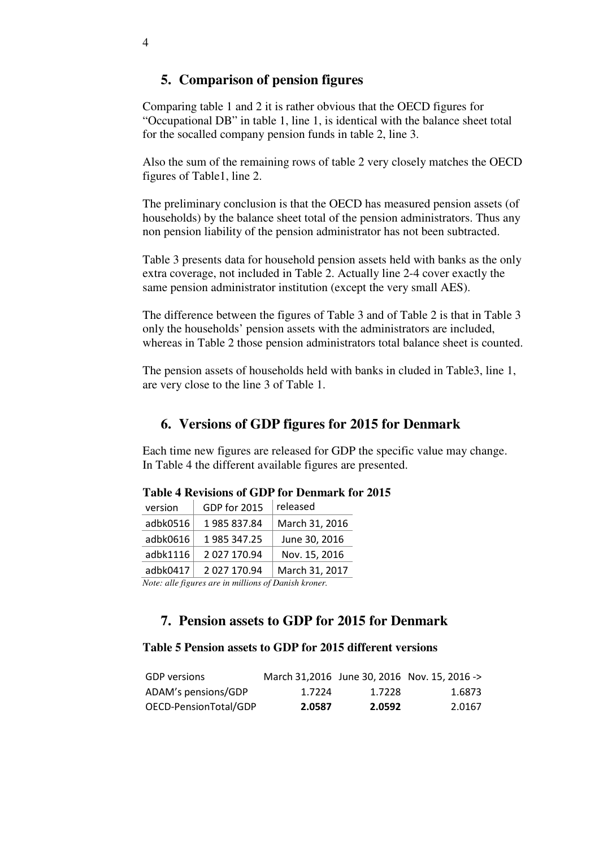# **5. Comparison of pension figures**

Comparing table 1 and 2 it is rather obvious that the OECD figures for "Occupational DB" in table 1, line 1, is identical with the balance sheet total for the socalled company pension funds in table 2, line 3.

Also the sum of the remaining rows of table 2 very closely matches the OECD figures of Table1, line 2.

The preliminary conclusion is that the OECD has measured pension assets (of households) by the balance sheet total of the pension administrators. Thus any non pension liability of the pension administrator has not been subtracted.

Table 3 presents data for household pension assets held with banks as the only extra coverage, not included in Table 2. Actually line 2-4 cover exactly the same pension administrator institution (except the very small AES).

The difference between the figures of Table 3 and of Table 2 is that in Table 3 only the households' pension assets with the administrators are included, whereas in Table 2 those pension administrators total balance sheet is counted.

The pension assets of households held with banks in cluded in Table3, line 1, are very close to the line 3 of Table 1.

# **6. Versions of GDP figures for 2015 for Denmark**

Each time new figures are released for GDP the specific value may change. In Table 4 the different available figures are presented.

| version                                                                                                                                                                                                                                                                                                           | <b>GDP for 2015</b> | released       |  |  |  |
|-------------------------------------------------------------------------------------------------------------------------------------------------------------------------------------------------------------------------------------------------------------------------------------------------------------------|---------------------|----------------|--|--|--|
| adbk0516                                                                                                                                                                                                                                                                                                          | 1985837.84          | March 31, 2016 |  |  |  |
| adbk0616                                                                                                                                                                                                                                                                                                          | 1 985 347.25        | June 30, 2016  |  |  |  |
| adbk1116                                                                                                                                                                                                                                                                                                          | 2 027 170.94        | Nov. 15, 2016  |  |  |  |
| adbk0417                                                                                                                                                                                                                                                                                                          | 2 027 170.94        | March 31, 2017 |  |  |  |
| $\mathcal{M}$ and $\mathcal{M}$ are $\mathcal{M}$ and $\mathcal{M}$ are $\mathcal{M}$ and $\mathcal{M}$ are $\mathcal{M}$ and $\mathcal{M}$ are $\mathcal{M}$ are $\mathcal{M}$ and $\mathcal{M}$ are $\mathcal{M}$ are $\mathcal{M}$ are $\mathcal{M}$ and $\mathcal{M}$ are $\mathcal{M}$ are $\mathcal{M}$ are |                     |                |  |  |  |

**Table 4 Revisions of GDP for Denmark for 2015** 

*Note: alle figures are in millions of Danish kroner.*

# **7. Pension assets to GDP for 2015 for Denmark**

#### **Table 5 Pension assets to GDP for 2015 different versions**

| <b>GDP</b> versions   |        |        | March 31.2016 June 30, 2016 Nov. 15, 2016 -> |
|-----------------------|--------|--------|----------------------------------------------|
| ADAM's pensions/GDP   | 1.7224 | 1.7228 | 1.6873                                       |
| OECD-PensionTotal/GDP | 2.0587 | 2.0592 | 2.0167                                       |